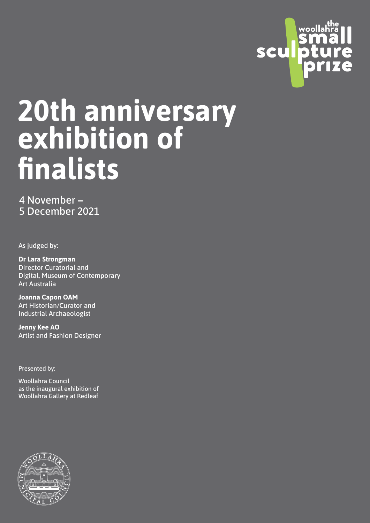

# 20th an **6 YE** 5 Dec 2021 **20th anniversary exhibition of finalists**

**Dr Lara Strongman**  4 November **–**  Post Curatorial and Curatorial and Curatorial and Curatorial and Curatorial and Curatorial and Curatorial and <br>Curatorial and Curatorial and Curatorial and Curatorial and Curatorial and Curatorial and Curatorial and Curat 5 December 2021

As judged by: **As judged** by:

**Director Curatorial and** Digital, Museum of Contemporary Art Australia (Bart Council Council Council Council Council Council Council Council Council Council Council Co<br>Art Council Council Council Council Council Council Council Council Council Council Council Council Council Co **Dr Lara Strongman** 

**Joanna Capon OAM**  $\overline{\phantom{a}}$ Art Historian/Curator and Industrial Archaeologist

**Jenny Kee AO**  Artist and Fashion Designer

Presented by:<br>Exercise of the sense of the sense

Woollahra Council **contra** as the inaugural exhibition of station and with the station with the station of the station of the station of the station of the station of t<br>In the station of the station of the station of the station of the station of the station of the station of th Woollahra Gallery at Redleaf

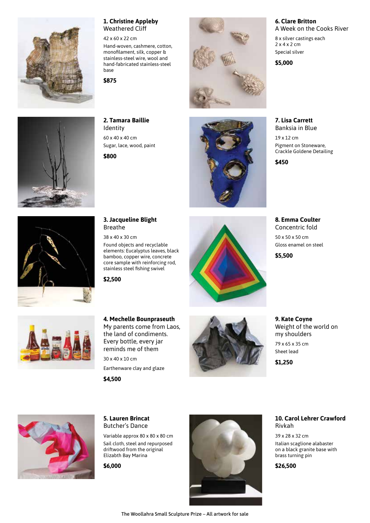

## **1. Christine Appleby** Weathered Cliff

42 x 60 x 22 cm

Hand-woven, cashmere, cotton, monofilament, silk, copper & stainless-steel wire, wool and hand-fabricated stainless-steel base

**\$875**



**2. Tamara Baillie** Identity 60 x 40 x 40 cm Sugar, lace, wood, paint

**\$800**





A Week on the Cooks River 8 x silver castings each

2 x 4 x 2 cm Special silver

**6. Clare Britton**

**\$5,000**

**7. Lisa Carrett** Banksia in Blue 19 x 12 cm

Pigment on Stoneware, Crackle Goldene Detailing

**\$450**

**8. Emma Coulter** Concentric fold 50 x 50 x 50 cm Gloss enamel on steel

**\$5,500**



# **3. Jacqueline Blight**

elements: Eucalyptus leaves, black



**9. Kate Coyne** Weight of the world on my shoulders 79 x 65 x 35 cm Sheet lead

**\$1,250**



# **5. Lauren Brincat** Butcher's Dance

Variable approx 80 x 80 x 80 cm Sail cloth, steel and repurposed driftwood from the original Elizabth Bay Marina

**\$6,000**



**10. Carol Lehrer Crawford** Rivkah

39 x 28 x 32 cm Italian scaglione alabaster on a black granite base with brass turning pin

**\$26,500**



38 x 40 x 30 cm

Found objects and recyclable bamboo, copper wire, concrete core sample with reinforcing rod, stainless steel fishing swivel

**\$2,500**



#### **4. Mechelle Bounpraseuth** My parents come from Laos, the land of condiments. Every bottle, every jar reminds me of them

30 x 40 x 10 cm Earthenware clay and glaze **\$4,500**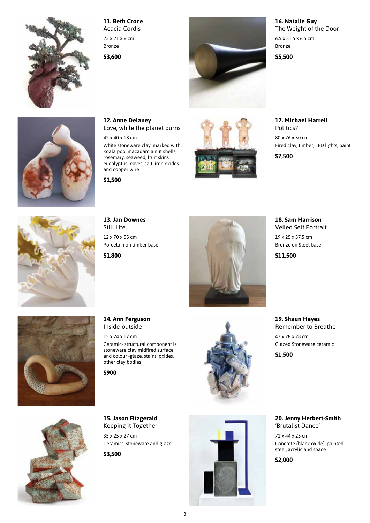

# **11. Beth Croce** Acacia Cordis

23 x 21 x 9 cm Bronze

**\$3,600**



## **16. Natalie Guy** The Weight of the Door

6.5 x 31.5 x 6.5 cm Bronze

**\$5,500**

**17. Michael Harrell**

Politics? 80 x 76 x 50 cm Fired clay, timber, LED lights, paint

**\$7,500**



White stoneware clay, marked with koala poo, macadamia nut shells, rosemary, seaweed, fruit skins, eucalyptus leaves, salt, iron oxides

and copper wire

42 x 40 x 18 cm

**12. Anne Delaney**

Love, while the planet burns

**\$1,500**



**13. Jan Downes** Still Life 12 x 70 x 55 cm Porcelain on timber base

**\$1,800**



**18. Sam Harrison** Veiled Self Portrait

19 x 25 x 37.5 cm Bronze on Steel base

**\$11,500**



**14. Ann Ferguson** Inside-outside

other clay bodies

15 x 24 x 17 cm Ceramic- structural component is stoneware clay midfired surface and colour -glaze, stains, oxides,

**\$900**



**19. Shaun Hayes** Remember to Breathe 43 x 28 x 28 cm Glazed Stoneware ceramic

**\$1,500**



**15. Jason Fitzgerald** Keeping it Together

35 x 25 x 27 cm Ceramics, stoneware and glaze

**\$3,500**



**20. Jenny Herbert-Smith** 'Brutalist Dance'

71 x 44 x 25 cm Concrete (black oxide), painted steel, acrylic and space

**\$2,000**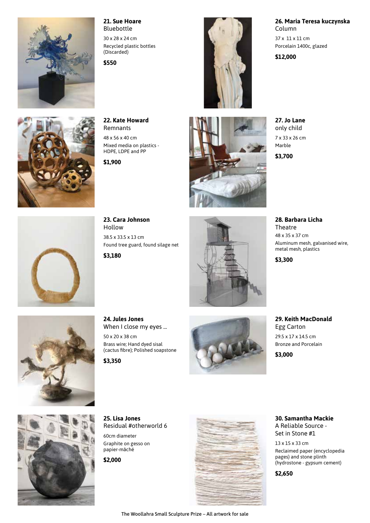

## **21. Sue Hoare** Bluebottle

30 x 28 x 24 cm Recycled plastic bottles (Discarded)

**22. Kate Howard** Remnants 48 x 56 x 40 cm

**\$1,900**

Mixed media on plastics - HDPE, LDPE and PP

**\$550**



#### **26. Maria Teresa kuczynska** Column

37 x 11 x 11 cm Porcelain 1400c, glazed

**\$12,000**

**27. Jo Lane** only child 7 x 33 x 26 cm Marble

**\$3,700**

**28. Barbara Licha Theatre** 48 x 35 x 37 cm Aluminum mesh, galvanised wire, metal mesh, plastics

**\$3,300**



**\$3,000**



**23. Cara Johnson** Hollow 38.5 x 33.5 x 13 cm Found tree guard, found silage net **\$3,180**





**24. Jules Jones** When I close my eyes ... 50 x 20 x 38 cm Brass wire; Hand dyed sisal

(cactus fibre); Polished soapstone **\$3,350**





**25. Lisa Jones** Residual #otherworld 6

60cm diameter Graphite on gesso on papier-mâché

**\$2,000**



**30. Samantha Mackie** A Reliable Source - Set in Stone #1

13 x 15 x 33 cm Reclaimed paper (encyclopedia pages) and stone plinth (hydrostone - gypsum cement)

**\$2,650**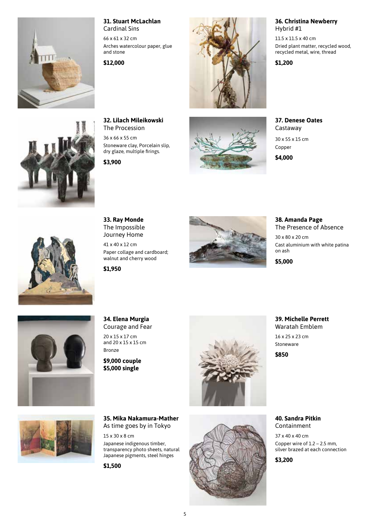

#### **31. Stuart McLachlan** Cardinal Sins

66 x 61 x 32 cm Arches watercolour paper, glue and stone

**\$12,000**



#### **36. Christina Newberry** Hybrid #1

11.5 x 11.5 x 40 cm Dried plant matter, recycled wood, recycled metal, wire, thread

**\$1,200**

**32. Lilach Mileikowski** The Procession

36 x 66 x 55 cm Stoneware clay, Porcelain slip, dry glaze, multiple firings.

**\$3,900**



**37. Denese Oates** Castaway

30 x 55 x 15 cm Copper

**\$4,000**



**33. Ray Monde** The Impossible Journey Home

41 x 40 x 12 cm Paper collage and cardboard; walnut and cherry wood

**\$1,950**



**38. Amanda Page** The Presence of Absence 30 x 80 x 20 cm

Cast aluminium with white patina on ash

**\$5,000**



**34. Elena Murgia** Courage and Fear

20 x 15 x 17 cm and 20 x 15 x 15 cm Bronze

**\$9,000 couple \$5,000 single**



**39. Michelle Perrett** Waratah Emblem 16 x 25 x 23 cm Stoneware

**\$850**



**35. Mika Nakamura-Mather** As time goes by in Tokyo

15 x 30 x 8 cm Japanese indigenous timber, transparency photo sheets, natural Japanese pigments, steel hinges

**\$1,500**



**40. Sandra Pitkin** Containment

37 x 40 x 40 cm Copper wire of 1.2 – 2.5 mm, silver brazed at each connection

**\$3,200**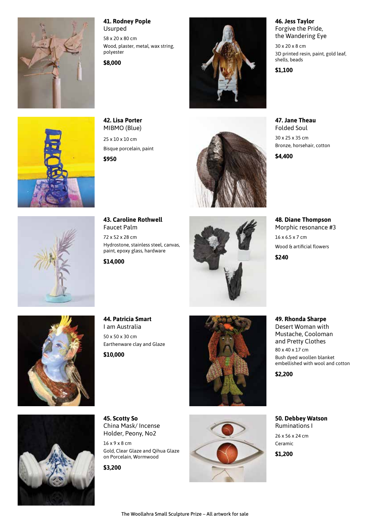

### **41. Rodney Pople** Usurped

58 x 20 x 80 cm Wood, plaster, metal, wax string, polyester

**\$8,000**



**46. Jess Taylor** Forgive the Pride, the Wandering Eye

30 x 20 x 8 cm 3D printed resin, paint, gold leaf, shells, beads

**\$1,100**

**47. Jane Theau** Folded Soul 30 x 25 x 35 cm Bronze, horsehair, cotton

**\$4,400**

**48. Diane Thompson** Morphic resonance #3 16 x 6.5 x 7 cm Wood & artificial flowers

**49. Rhonda Sharpe** Desert Woman with Mustache, Cooloman and Pretty Clothes 80 x 40 x 17 cm

Bush dyed woollen blanket embellished with wool and cotton

**\$240**



**42. Lisa Porter** MIBMO (Blue) 25 x 10 x 10 cm

Bisque porcelain, paint

**\$950**





**43. Caroline Rothwell** Faucet Palm 72 x 52 x 28 cm Hydrostone, stainless steel, canvas, paint, epoxy glass, hardware

**\$14,000**





**44. Patricia Smart** I am Australia 50 x 50 x 30 cm Earthenware clay and Glaze

**\$10,000**



**50. Debbey Watson** Ruminations I 26 x 56 x 24 cm Ceramic **\$1,200**

**\$2,200**

**45. Scotty So** China Mask/ Incense Holder, Peony, No2

16 x 9 x 8 cm Gold, Clear Glaze and Qihua Glaze on Porcelain, Wormwood

**\$3,200**

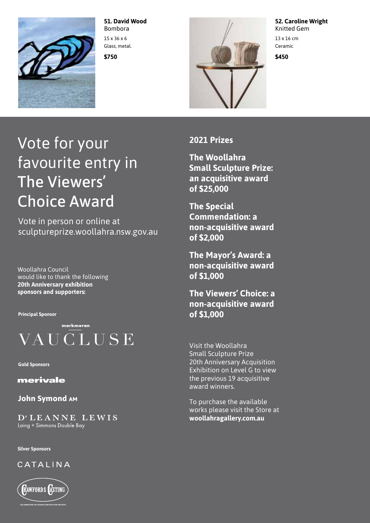

**51. David Wood** Bombora 15 x 36 x 6 Glass, metal.

**\$750**



**52. Caroline Wright** Knitted Gem

13 x 16 cm Ceramic

**\$450**

# Vote for your favourite entry in The Viewers' Choice Award

Vote in person or online at sculptureprize.woollahra.nsw.gov.au

Woollahra Council would like to thank the following **20th Anniversary exhibition sponsors and supporters:**

**Principal Sponsor**



**Gold Sponsors**

merivale

**John Symond AM** 

D'LEANNE LEWIS Laing + Simmons Double Bay

**Silver Sponsors**

CATALINA



**2021 Prizes**

**The Woollahra Small Sculpture Prize: an acquisitive award of \$25,000**

**The Special Commendation: a non-acquisitive award of \$2,000**

**The Mayor's Award: a non-acquisitive award of \$1,000**

**The Viewers' Choice: a non-acquisitive award of \$1,000**

Visit the Woollahra Small Sculpture Prize 20th Anniversary Acquisition Exhibition on Level G to view the previous 19 acquisitive award winners.

To purchase the available works please visit the Store at **woollahragallery.com.au**